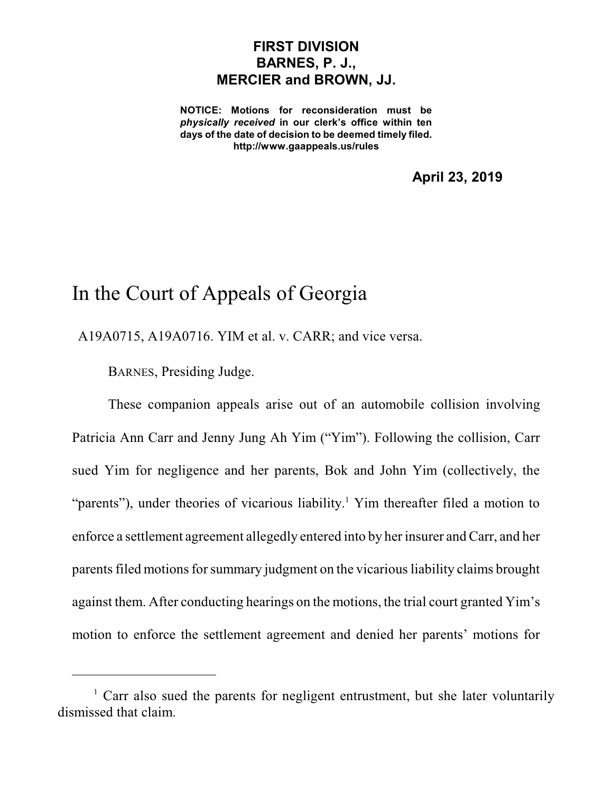## **FIRST DIVISION BARNES, P. J., MERCIER and BROWN, JJ.**

**NOTICE: Motions for reconsideration must be** *physically received* **in our clerk's office within ten days of the date of decision to be deemed timely filed. http://www.gaappeals.us/rules**

**April 23, 2019**

## In the Court of Appeals of Georgia

A19A0715, A19A0716. YIM et al. v. CARR; and vice versa.

BARNES, Presiding Judge.

These companion appeals arise out of an automobile collision involving Patricia Ann Carr and Jenny Jung Ah Yim ("Yim"). Following the collision, Carr sued Yim for negligence and her parents, Bok and John Yim (collectively, the "parents"), under theories of vicarious liability.<sup>1</sup> Yim thereafter filed a motion to enforce a settlement agreement allegedly entered into by her insurer and Carr, and her parents filed motions for summary judgment on the vicarious liability claims brought against them. After conducting hearings on the motions, the trial court granted Yim's motion to enforce the settlement agreement and denied her parents' motions for

<sup>&</sup>lt;sup>1</sup> Carr also sued the parents for negligent entrustment, but she later voluntarily dismissed that claim.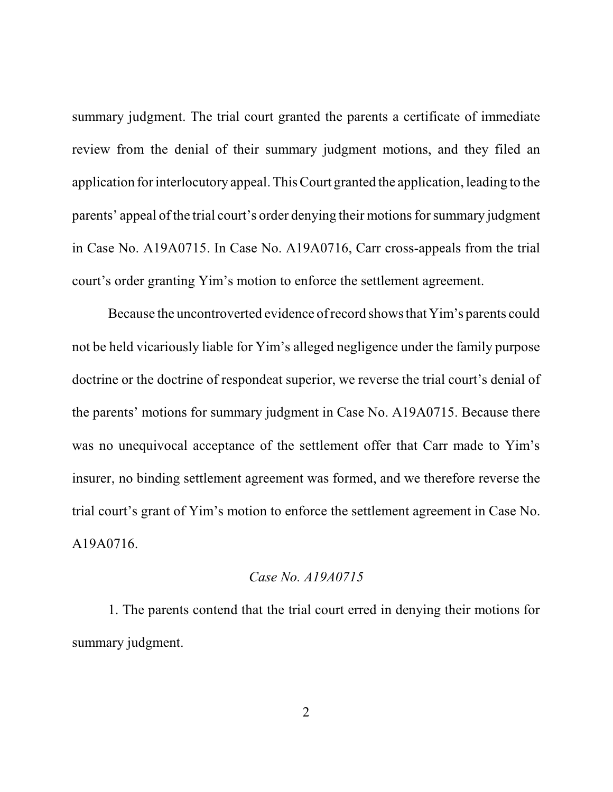summary judgment. The trial court granted the parents a certificate of immediate review from the denial of their summary judgment motions, and they filed an application for interlocutory appeal. ThisCourt granted the application, leading to the parents' appeal of the trial court's order denying their motionsfor summary judgment in Case No. A19A0715. In Case No. A19A0716, Carr cross-appeals from the trial court's order granting Yim's motion to enforce the settlement agreement.

Because the uncontroverted evidence of record showsthat Yim's parents could not be held vicariously liable for Yim's alleged negligence under the family purpose doctrine or the doctrine of respondeat superior, we reverse the trial court's denial of the parents' motions for summary judgment in Case No. A19A0715. Because there was no unequivocal acceptance of the settlement offer that Carr made to Yim's insurer, no binding settlement agreement was formed, and we therefore reverse the trial court's grant of Yim's motion to enforce the settlement agreement in Case No. A19A0716.

## *Case No. A19A0715*

1. The parents contend that the trial court erred in denying their motions for summary judgment.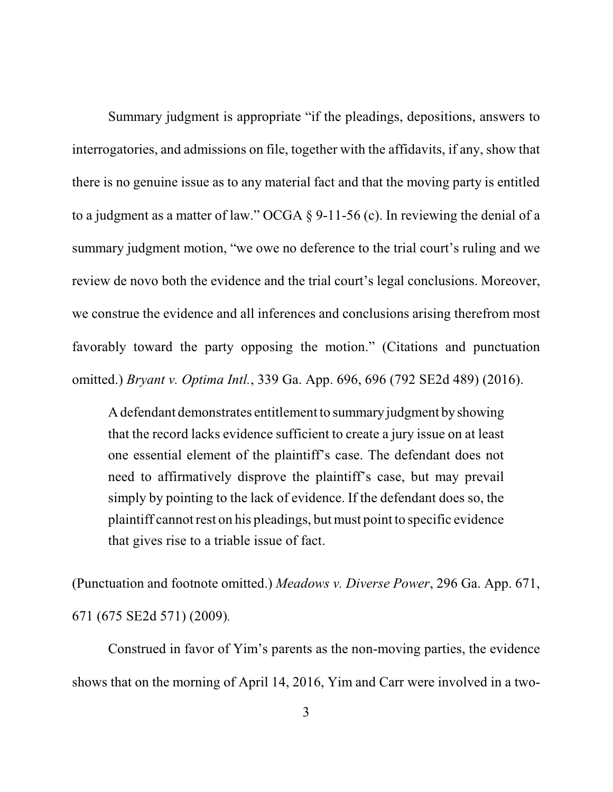Summary judgment is appropriate "if the pleadings, depositions, answers to interrogatories, and admissions on file, together with the affidavits, if any, show that there is no genuine issue as to any material fact and that the moving party is entitled to a judgment as a matter of law." OCGA  $\S$  9-11-56 (c). In reviewing the denial of a summary judgment motion, "we owe no deference to the trial court's ruling and we review de novo both the evidence and the trial court's legal conclusions. Moreover, we construe the evidence and all inferences and conclusions arising therefrom most favorably toward the party opposing the motion." (Citations and punctuation omitted.) *Bryant v. Optima Intl.*, 339 Ga. App. 696, 696 (792 SE2d 489) (2016).

Adefendant demonstrates entitlement to summary judgment byshowing that the record lacks evidence sufficient to create a jury issue on at least one essential element of the plaintiff's case. The defendant does not need to affirmatively disprove the plaintiff's case, but may prevail simply by pointing to the lack of evidence. If the defendant does so, the plaintiff cannotrest on his pleadings, but must point to specific evidence that gives rise to a triable issue of fact.

(Punctuation and footnote omitted.) *Meadows v. Diverse Power*, 296 Ga. App. 671, 671 (675 SE2d 571) (2009)*.* 

Construed in favor of Yim's parents as the non-moving parties, the evidence shows that on the morning of April 14, 2016, Yim and Carr were involved in a two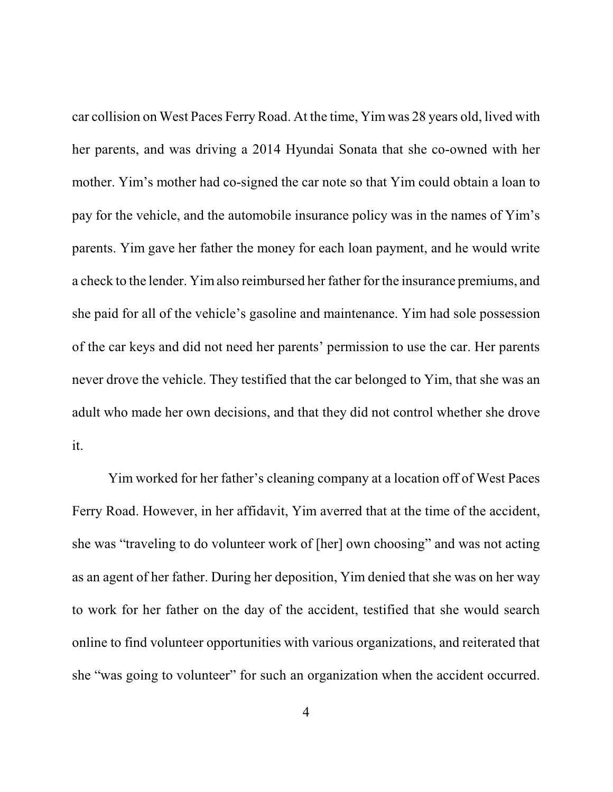car collision on West Paces Ferry Road. At the time, Yim was 28 years old, lived with her parents, and was driving a 2014 Hyundai Sonata that she co-owned with her mother. Yim's mother had co-signed the car note so that Yim could obtain a loan to pay for the vehicle, and the automobile insurance policy was in the names of Yim's parents. Yim gave her father the money for each loan payment, and he would write a check to the lender. Yimalso reimbursed her father for the insurance premiums, and she paid for all of the vehicle's gasoline and maintenance. Yim had sole possession of the car keys and did not need her parents' permission to use the car. Her parents never drove the vehicle. They testified that the car belonged to Yim, that she was an adult who made her own decisions, and that they did not control whether she drove it.

Yim worked for her father's cleaning company at a location off of West Paces Ferry Road. However, in her affidavit, Yim averred that at the time of the accident, she was "traveling to do volunteer work of [her] own choosing" and was not acting as an agent of her father. During her deposition, Yim denied that she was on her way to work for her father on the day of the accident, testified that she would search online to find volunteer opportunities with various organizations, and reiterated that she "was going to volunteer" for such an organization when the accident occurred.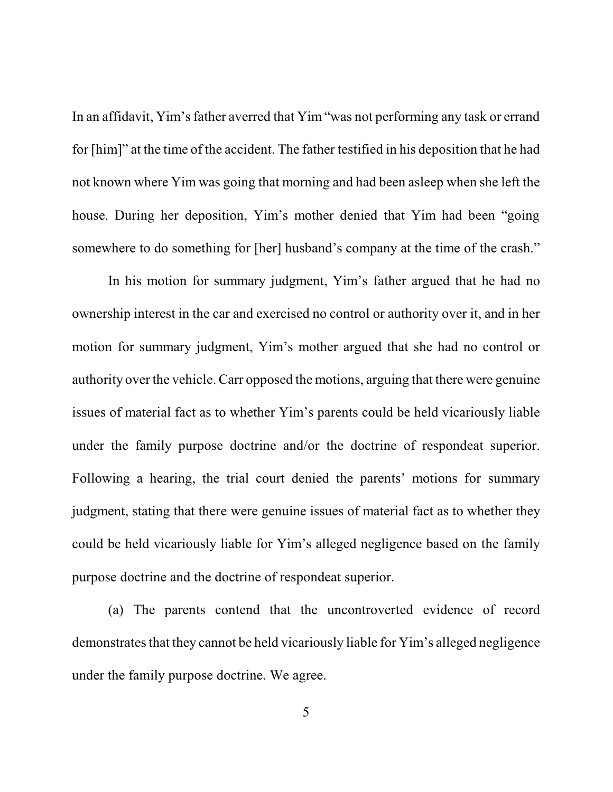In an affidavit, Yim's father averred that Yim "was not performing any task or errand for [him]" at the time of the accident. The father testified in his deposition that he had not known where Yim was going that morning and had been asleep when she left the house. During her deposition, Yim's mother denied that Yim had been "going somewhere to do something for [her] husband's company at the time of the crash."

In his motion for summary judgment, Yim's father argued that he had no ownership interest in the car and exercised no control or authority over it, and in her motion for summary judgment, Yim's mother argued that she had no control or authority over the vehicle. Carr opposed the motions, arguing that there were genuine issues of material fact as to whether Yim's parents could be held vicariously liable under the family purpose doctrine and/or the doctrine of respondeat superior. Following a hearing, the trial court denied the parents' motions for summary judgment, stating that there were genuine issues of material fact as to whether they could be held vicariously liable for Yim's alleged negligence based on the family purpose doctrine and the doctrine of respondeat superior.

(a) The parents contend that the uncontroverted evidence of record demonstrates that they cannot be held vicariously liable for Yim's alleged negligence under the family purpose doctrine. We agree.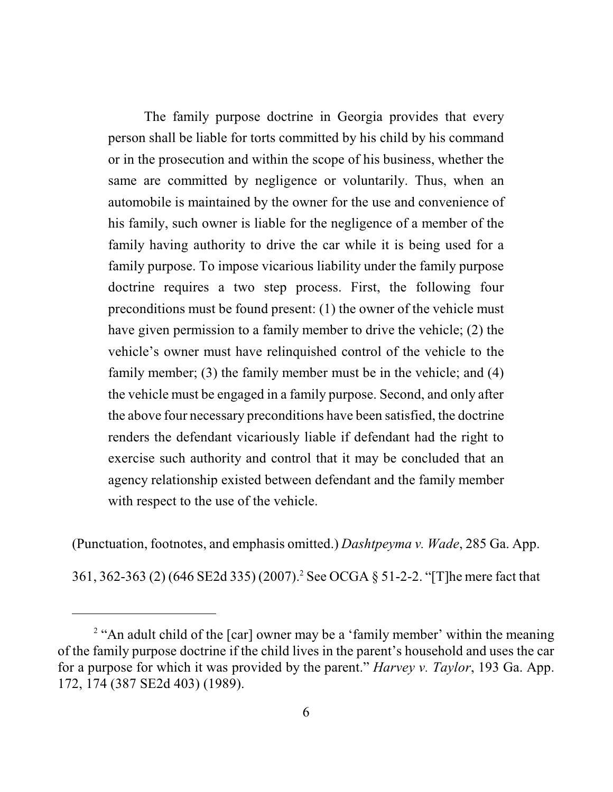The family purpose doctrine in Georgia provides that every person shall be liable for torts committed by his child by his command or in the prosecution and within the scope of his business, whether the same are committed by negligence or voluntarily. Thus, when an automobile is maintained by the owner for the use and convenience of his family, such owner is liable for the negligence of a member of the family having authority to drive the car while it is being used for a family purpose. To impose vicarious liability under the family purpose doctrine requires a two step process. First, the following four preconditions must be found present: (1) the owner of the vehicle must have given permission to a family member to drive the vehicle; (2) the vehicle's owner must have relinquished control of the vehicle to the family member; (3) the family member must be in the vehicle; and (4) the vehicle must be engaged in a family purpose. Second, and only after the above four necessary preconditions have been satisfied, the doctrine renders the defendant vicariously liable if defendant had the right to exercise such authority and control that it may be concluded that an agency relationship existed between defendant and the family member with respect to the use of the vehicle.

(Punctuation, footnotes, and emphasis omitted.) *Dashtpeyma v. Wade*, 285 Ga. App.

361, 362-363 (2) (646 SE2d 335) (2007).<sup>2</sup> See OCGA § 51-2-2. "[T]he mere fact that

<sup>&</sup>lt;sup>2</sup> "An adult child of the [car] owner may be a 'family member' within the meaning of the family purpose doctrine if the child lives in the parent's household and uses the car for a purpose for which it was provided by the parent." *Harvey v. Taylor*, 193 Ga. App. 172, 174 (387 SE2d 403) (1989).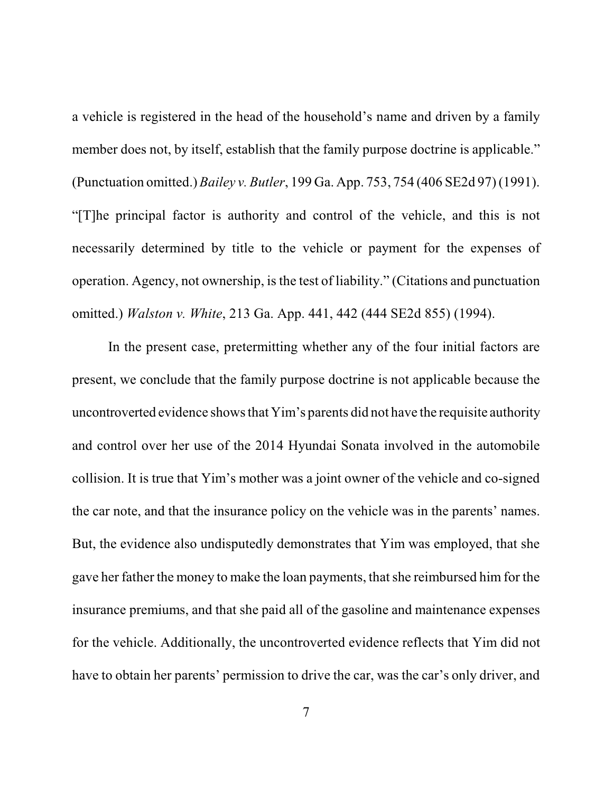a vehicle is registered in the head of the household's name and driven by a family member does not, by itself, establish that the family purpose doctrine is applicable." (Punctuation omitted.) *Bailey v. Butler*, 199 Ga. App. 753, 754 (406 SE2d 97) (1991). "[T]he principal factor is authority and control of the vehicle, and this is not necessarily determined by title to the vehicle or payment for the expenses of operation. Agency, not ownership, is the test of liability." (Citations and punctuation omitted.) *Walston v. White*, 213 Ga. App. 441, 442 (444 SE2d 855) (1994).

In the present case, pretermitting whether any of the four initial factors are present, we conclude that the family purpose doctrine is not applicable because the uncontroverted evidence showsthat Yim's parents did not have the requisite authority and control over her use of the 2014 Hyundai Sonata involved in the automobile collision. It is true that Yim's mother was a joint owner of the vehicle and co-signed the car note, and that the insurance policy on the vehicle was in the parents' names. But, the evidence also undisputedly demonstrates that Yim was employed, that she gave her father the money to make the loan payments, that she reimbursed him for the insurance premiums, and that she paid all of the gasoline and maintenance expenses for the vehicle. Additionally, the uncontroverted evidence reflects that Yim did not have to obtain her parents' permission to drive the car, was the car's only driver, and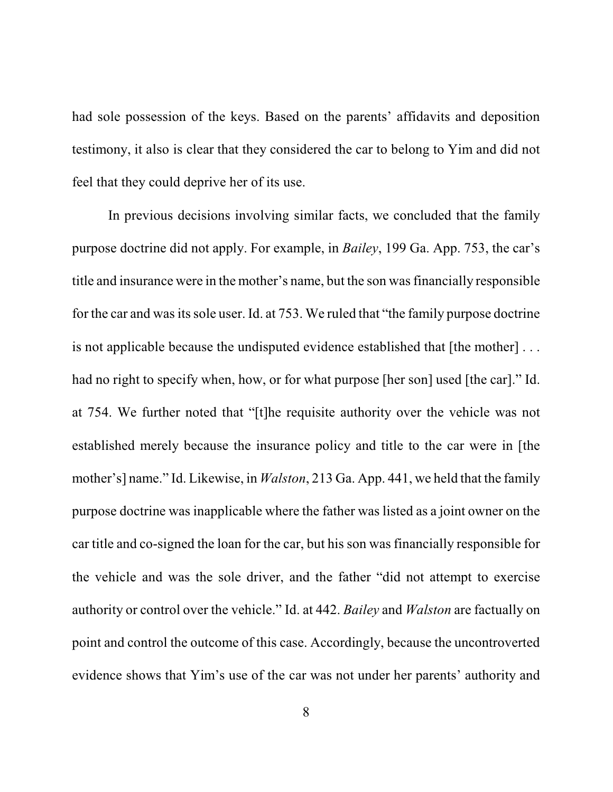had sole possession of the keys. Based on the parents' affidavits and deposition testimony, it also is clear that they considered the car to belong to Yim and did not feel that they could deprive her of its use.

In previous decisions involving similar facts, we concluded that the family purpose doctrine did not apply. For example, in *Bailey*, 199 Ga. App. 753, the car's title and insurance were in the mother's name, but the son wasfinancially responsible for the car and was its sole user. Id. at 753. We ruled that "the family purpose doctrine" is not applicable because the undisputed evidence established that [the mother] . . . had no right to specify when, how, or for what purpose [her son] used [the car]." Id. at 754. We further noted that "[t]he requisite authority over the vehicle was not established merely because the insurance policy and title to the car were in [the mother's] name." Id. Likewise, in *Walston*, 213 Ga. App. 441, we held that the family purpose doctrine was inapplicable where the father was listed as a joint owner on the car title and co-signed the loan for the car, but his son was financially responsible for the vehicle and was the sole driver, and the father "did not attempt to exercise authority or control over the vehicle." Id. at 442. *Bailey* and *Walston* are factually on point and control the outcome of this case. Accordingly, because the uncontroverted evidence shows that Yim's use of the car was not under her parents' authority and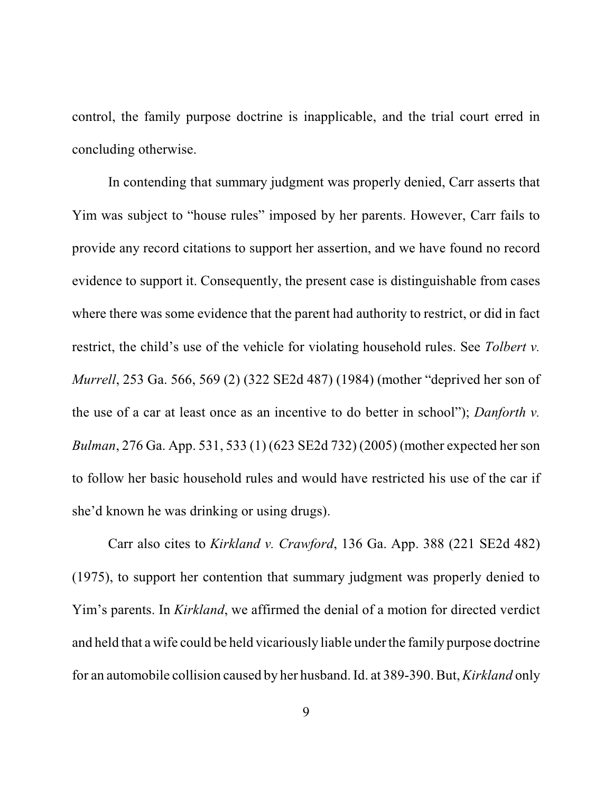control, the family purpose doctrine is inapplicable, and the trial court erred in concluding otherwise.

In contending that summary judgment was properly denied, Carr asserts that Yim was subject to "house rules" imposed by her parents. However, Carr fails to provide any record citations to support her assertion, and we have found no record evidence to support it. Consequently, the present case is distinguishable from cases where there was some evidence that the parent had authority to restrict, or did in fact restrict, the child's use of the vehicle for violating household rules. See *Tolbert v. Murrell*, 253 Ga. 566, 569 (2) (322 SE2d 487) (1984) (mother "deprived her son of the use of a car at least once as an incentive to do better in school"); *Danforth v. Bulman*, 276 Ga. App. 531, 533 (1) (623 SE2d 732) (2005) (mother expected her son to follow her basic household rules and would have restricted his use of the car if she'd known he was drinking or using drugs).

Carr also cites to *Kirkland v. Crawford*, 136 Ga. App. 388 (221 SE2d 482) (1975), to support her contention that summary judgment was properly denied to Yim's parents. In *Kirkland*, we affirmed the denial of a motion for directed verdict and held that a wife could be held vicariously liable under the family purpose doctrine for an automobile collision caused by her husband. Id. at 389-390. But, *Kirkland* only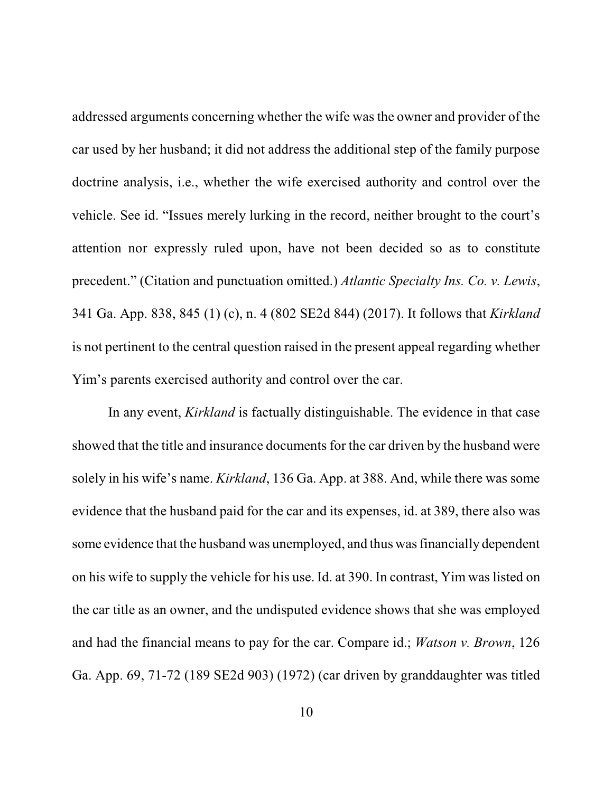addressed arguments concerning whether the wife was the owner and provider of the car used by her husband; it did not address the additional step of the family purpose doctrine analysis, i.e., whether the wife exercised authority and control over the vehicle. See id. "Issues merely lurking in the record, neither brought to the court's attention nor expressly ruled upon, have not been decided so as to constitute precedent." (Citation and punctuation omitted.) *Atlantic Specialty Ins. Co. v. Lewis*, 341 Ga. App. 838, 845 (1) (c), n. 4 (802 SE2d 844) (2017). It follows that *Kirkland* is not pertinent to the central question raised in the present appeal regarding whether Yim's parents exercised authority and control over the car.

In any event, *Kirkland* is factually distinguishable. The evidence in that case showed that the title and insurance documents for the car driven by the husband were solely in his wife's name. *Kirkland*, 136 Ga. App. at 388. And, while there was some evidence that the husband paid for the car and its expenses, id. at 389, there also was some evidence that the husband was unemployed, and thus was financially dependent on his wife to supply the vehicle for his use. Id. at 390. In contrast, Yim was listed on the car title as an owner, and the undisputed evidence shows that she was employed and had the financial means to pay for the car. Compare id.; *Watson v. Brown*, 126 Ga. App. 69, 71-72 (189 SE2d 903) (1972) (car driven by granddaughter was titled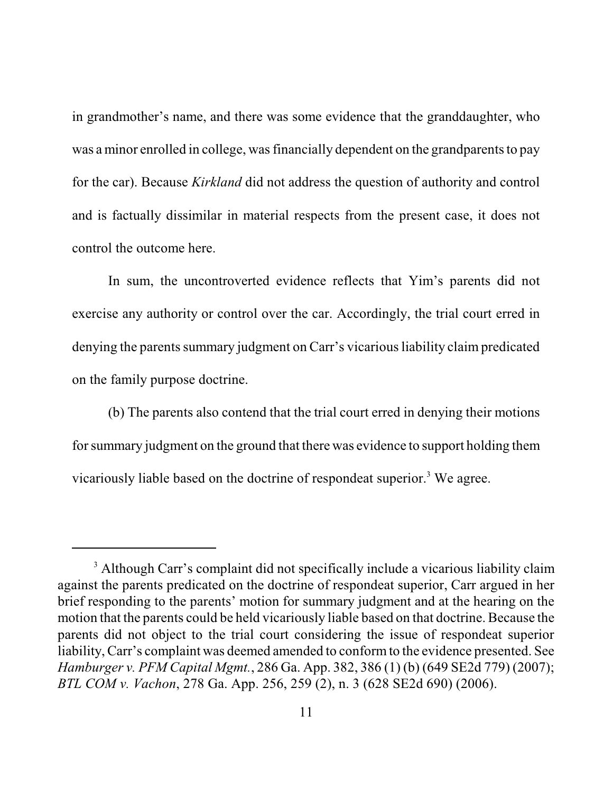in grandmother's name, and there was some evidence that the granddaughter, who was a minor enrolled in college, was financially dependent on the grandparents to pay for the car). Because *Kirkland* did not address the question of authority and control and is factually dissimilar in material respects from the present case, it does not control the outcome here.

In sum, the uncontroverted evidence reflects that Yim's parents did not exercise any authority or control over the car. Accordingly, the trial court erred in denying the parents summary judgment on Carr's vicarious liability claim predicated on the family purpose doctrine.

(b) The parents also contend that the trial court erred in denying their motions for summary judgment on the ground that there was evidence to support holding them vicariously liable based on the doctrine of respondeat superior.<sup>3</sup> We agree.

<sup>&</sup>lt;sup>3</sup> Although Carr's complaint did not specifically include a vicarious liability claim against the parents predicated on the doctrine of respondeat superior, Carr argued in her brief responding to the parents' motion for summary judgment and at the hearing on the motion that the parents could be held vicariously liable based on that doctrine. Because the parents did not object to the trial court considering the issue of respondeat superior liability, Carr's complaint was deemed amended to conformto the evidence presented. See *Hamburger v. PFM Capital Mgmt.*, 286 Ga. App. 382, 386 (1) (b) (649 SE2d 779) (2007); *BTL COM v. Vachon*, 278 Ga. App. 256, 259 (2), n. 3 (628 SE2d 690) (2006).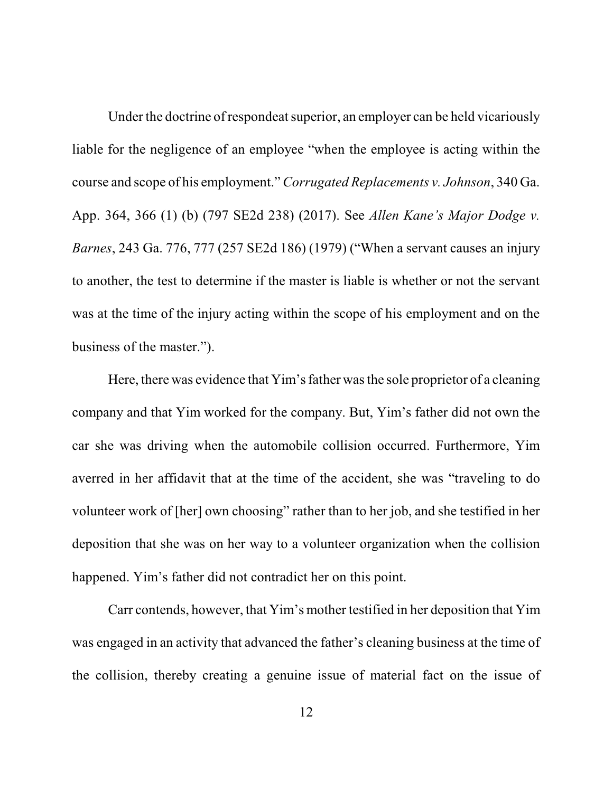Under the doctrine of respondeat superior, an employer can be held vicariously liable for the negligence of an employee "when the employee is acting within the course and scope of his employment." *Corrugated Replacements v. Johnson*, 340 Ga. App. 364, 366 (1) (b) (797 SE2d 238) (2017). See *Allen Kane's Major Dodge v. Barnes*, 243 Ga. 776, 777 (257 SE2d 186) (1979) ("When a servant causes an injury to another, the test to determine if the master is liable is whether or not the servant was at the time of the injury acting within the scope of his employment and on the business of the master.").

Here, there was evidence that Yim's father was the sole proprietor of a cleaning company and that Yim worked for the company. But, Yim's father did not own the car she was driving when the automobile collision occurred. Furthermore, Yim averred in her affidavit that at the time of the accident, she was "traveling to do volunteer work of [her] own choosing" rather than to her job, and she testified in her deposition that she was on her way to a volunteer organization when the collision happened. Yim's father did not contradict her on this point.

Carr contends, however, that Yim's mother testified in her deposition that Yim was engaged in an activity that advanced the father's cleaning business at the time of the collision, thereby creating a genuine issue of material fact on the issue of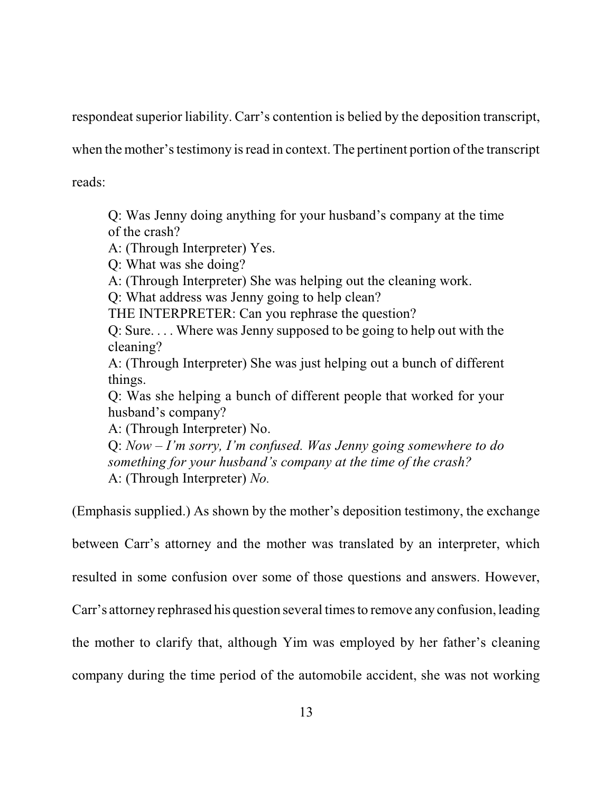respondeat superior liability. Carr's contention is belied by the deposition transcript,

when the mother's testimony is read in context. The pertinent portion of the transcript

reads:

Q: Was Jenny doing anything for your husband's company at the time of the crash?

A: (Through Interpreter) Yes.

Q: What was she doing?

A: (Through Interpreter) She was helping out the cleaning work.

Q: What address was Jenny going to help clean?

THE INTERPRETER: Can you rephrase the question?

Q: Sure. . . . Where was Jenny supposed to be going to help out with the cleaning?

A: (Through Interpreter) She was just helping out a bunch of different things.

Q: Was she helping a bunch of different people that worked for your husband's company?

A: (Through Interpreter) No.

Q: *Now – I'm sorry, I'm confused. Was Jenny going somewhere to do something for your husband's company at the time of the crash?* A: (Through Interpreter) *No.*

(Emphasis supplied.) As shown by the mother's deposition testimony, the exchange

between Carr's attorney and the mother was translated by an interpreter, which

resulted in some confusion over some of those questions and answers. However,

Carr's attorney rephrased his question several times to remove any confusion, leading

the mother to clarify that, although Yim was employed by her father's cleaning

company during the time period of the automobile accident, she was not working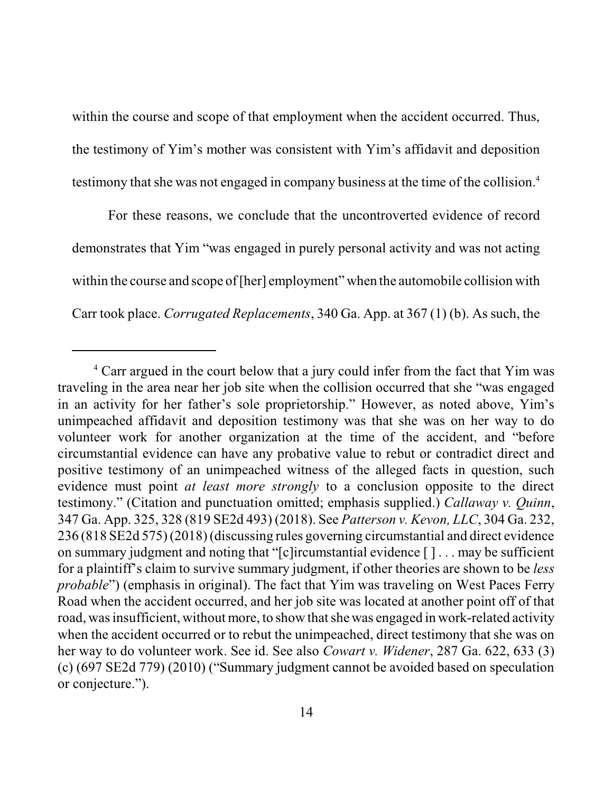within the course and scope of that employment when the accident occurred. Thus, the testimony of Yim's mother was consistent with Yim's affidavit and deposition testimony that she was not engaged in company business at the time of the collision. 4

For these reasons, we conclude that the uncontroverted evidence of record demonstrates that Yim "was engaged in purely personal activity and was not acting within the course and scope of [her] employment" when the automobile collision with Carr took place. *Corrugated Replacements*, 340 Ga. App. at 367 (1) (b). As such, the

<sup>&</sup>lt;sup>4</sup> Carr argued in the court below that a jury could infer from the fact that Yim was traveling in the area near her job site when the collision occurred that she "was engaged in an activity for her father's sole proprietorship." However, as noted above, Yim's unimpeached affidavit and deposition testimony was that she was on her way to do volunteer work for another organization at the time of the accident, and "before circumstantial evidence can have any probative value to rebut or contradict direct and positive testimony of an unimpeached witness of the alleged facts in question, such evidence must point *at least more strongly* to a conclusion opposite to the direct testimony." (Citation and punctuation omitted; emphasis supplied.) *Callaway v. Quinn*, 347 Ga. App. 325, 328 (819 SE2d 493) (2018). See *Patterson v. Kevon, LLC*, 304 Ga. 232, 236 (818 SE2d 575) (2018) (discussing rules governing circumstantial and direct evidence on summary judgment and noting that "[c]ircumstantial evidence [ ] . . . may be sufficient for a plaintiff's claim to survive summary judgment, if other theories are shown to be *less probable*") (emphasis in original). The fact that Yim was traveling on West Paces Ferry Road when the accident occurred, and her job site was located at another point off of that road, was insufficient, without more, to show that she was engaged in work-related activity when the accident occurred or to rebut the unimpeached, direct testimony that she was on her way to do volunteer work. See id. See also *Cowart v. Widener*, 287 Ga. 622, 633 (3) (c) (697 SE2d 779) (2010) ("Summary judgment cannot be avoided based on speculation or conjecture.").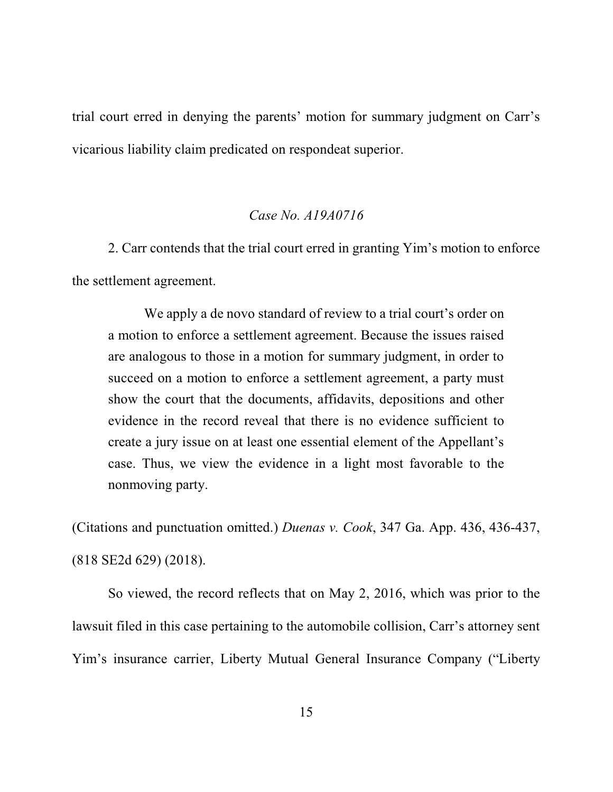trial court erred in denying the parents' motion for summary judgment on Carr's vicarious liability claim predicated on respondeat superior.

## *Case No. A19A0716*

2. Carr contends that the trial court erred in granting Yim's motion to enforce the settlement agreement.

We apply a de novo standard of review to a trial court's order on a motion to enforce a settlement agreement. Because the issues raised are analogous to those in a motion for summary judgment, in order to succeed on a motion to enforce a settlement agreement, a party must show the court that the documents, affidavits, depositions and other evidence in the record reveal that there is no evidence sufficient to create a jury issue on at least one essential element of the Appellant's case. Thus, we view the evidence in a light most favorable to the nonmoving party.

(Citations and punctuation omitted.) *Duenas v. Cook*, 347 Ga. App. 436, 436-437,

(818 SE2d 629) (2018).

So viewed, the record reflects that on May 2, 2016, which was prior to the lawsuit filed in this case pertaining to the automobile collision, Carr's attorney sent Yim's insurance carrier, Liberty Mutual General Insurance Company ("Liberty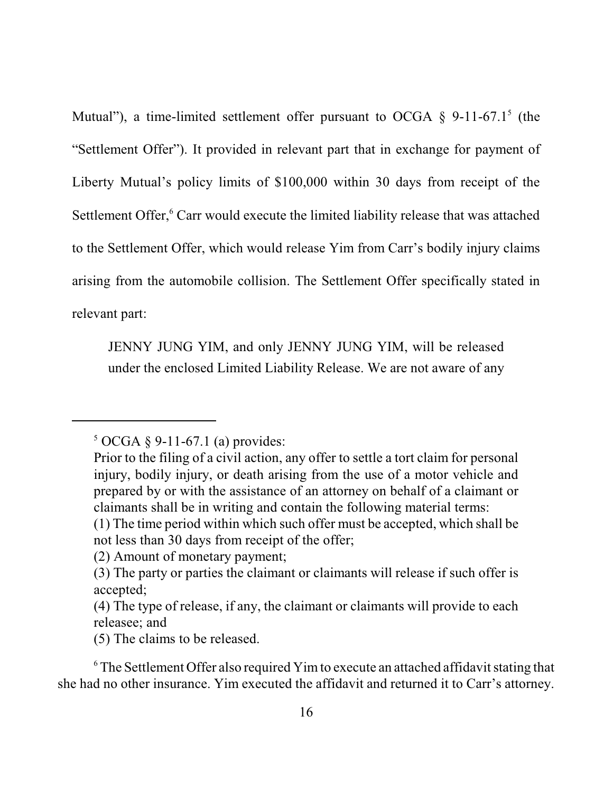Mutual"), a time-limited settlement offer pursuant to OCGA  $\S$  9-11-67.1<sup>5</sup> (the "Settlement Offer"). It provided in relevant part that in exchange for payment of Liberty Mutual's policy limits of \$100,000 within 30 days from receipt of the Settlement Offer,<sup>6</sup> Carr would execute the limited liability release that was attached to the Settlement Offer, which would release Yim from Carr's bodily injury claims arising from the automobile collision. The Settlement Offer specifically stated in relevant part:

JENNY JUNG YIM, and only JENNY JUNG YIM, will be released under the enclosed Limited Liability Release. We are not aware of any

 $5 \text{ OCGA} \, \S \, 9-11-67.1 \text{ (a) provides:}$ 

Prior to the filing of a civil action, any offer to settle a tort claim for personal injury, bodily injury, or death arising from the use of a motor vehicle and prepared by or with the assistance of an attorney on behalf of a claimant or claimants shall be in writing and contain the following material terms:

<sup>(1)</sup> The time period within which such offer must be accepted, which shall be not less than 30 days from receipt of the offer;

<sup>(2)</sup> Amount of monetary payment;

<sup>(3)</sup> The party or parties the claimant or claimants will release if such offer is accepted;

<sup>(4)</sup> The type of release, if any, the claimant or claimants will provide to each releasee; and

<sup>(5)</sup> The claims to be released.

 $6$  The Settlement Offer also required Yim to execute an attached affidavit stating that she had no other insurance. Yim executed the affidavit and returned it to Carr's attorney.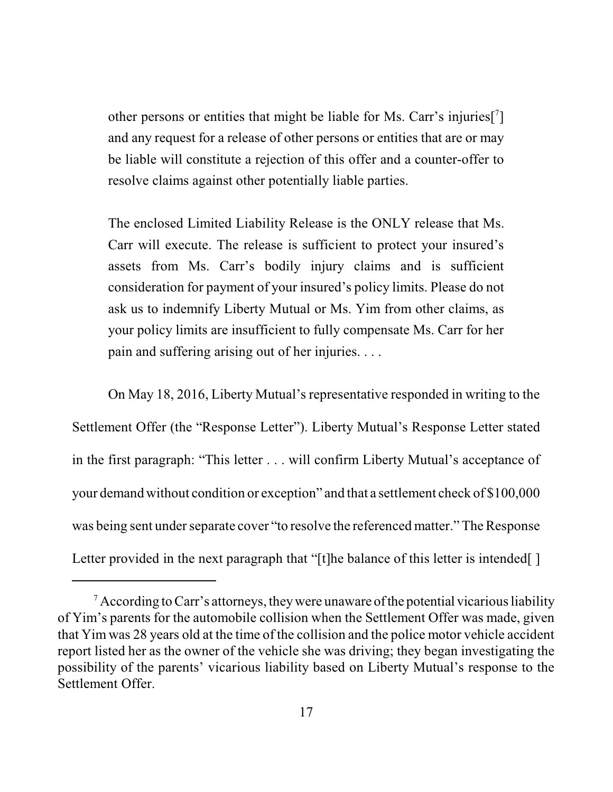other persons or entities that might be liable for Ms. Carr's injuries[7] and any request for a release of other persons or entities that are or may be liable will constitute a rejection of this offer and a counter-offer to resolve claims against other potentially liable parties.

The enclosed Limited Liability Release is the ONLY release that Ms. Carr will execute. The release is sufficient to protect your insured's assets from Ms. Carr's bodily injury claims and is sufficient consideration for payment of your insured's policy limits. Please do not ask us to indemnify Liberty Mutual or Ms. Yim from other claims, as your policy limits are insufficient to fully compensate Ms. Carr for her pain and suffering arising out of her injuries. . . .

On May 18, 2016, Liberty Mutual's representative responded in writing to the Settlement Offer (the "Response Letter"). Liberty Mutual's Response Letter stated in the first paragraph: "This letter . . . will confirm Liberty Mutual's acceptance of your demand without condition or exception" and that a settlement check of \$100,000 was being sent under separate cover "to resolve the referenced matter." The Response Letter provided in the next paragraph that "[t]he balance of this letter is intended[]

 $\alpha^7$  According to Carr's attorneys, they were unaware of the potential vicarious liability of Yim's parents for the automobile collision when the Settlement Offer was made, given that Yim was 28 years old at the time of the collision and the police motor vehicle accident report listed her as the owner of the vehicle she was driving; they began investigating the possibility of the parents' vicarious liability based on Liberty Mutual's response to the Settlement Offer.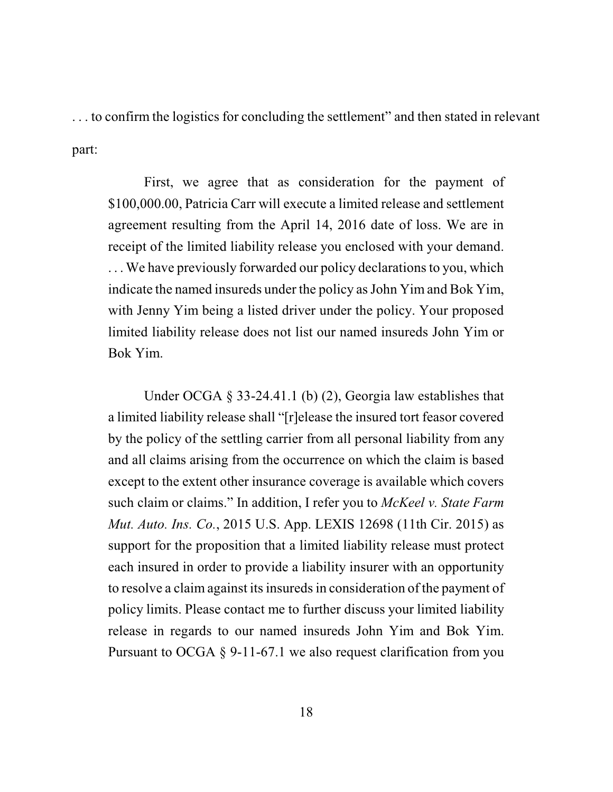. . . to confirm the logistics for concluding the settlement" and then stated in relevant part:

First, we agree that as consideration for the payment of \$100,000.00, Patricia Carr will execute a limited release and settlement agreement resulting from the April 14, 2016 date of loss. We are in receipt of the limited liability release you enclosed with your demand. ... We have previously forwarded our policy declarations to you, which indicate the named insureds under the policy as John Yim and Bok Yim, with Jenny Yim being a listed driver under the policy. Your proposed limited liability release does not list our named insureds John Yim or Bok Yim.

Under OCGA § 33-24.41.1 (b) (2), Georgia law establishes that a limited liability release shall "[r]elease the insured tort feasor covered by the policy of the settling carrier from all personal liability from any and all claims arising from the occurrence on which the claim is based except to the extent other insurance coverage is available which covers such claim or claims." In addition, I refer you to *McKeel v. State Farm Mut. Auto. Ins. Co.*, 2015 U.S. App. LEXIS 12698 (11th Cir. 2015) as support for the proposition that a limited liability release must protect each insured in order to provide a liability insurer with an opportunity to resolve a claim against its insureds in consideration of the payment of policy limits. Please contact me to further discuss your limited liability release in regards to our named insureds John Yim and Bok Yim. Pursuant to OCGA § 9-11-67.1 we also request clarification from you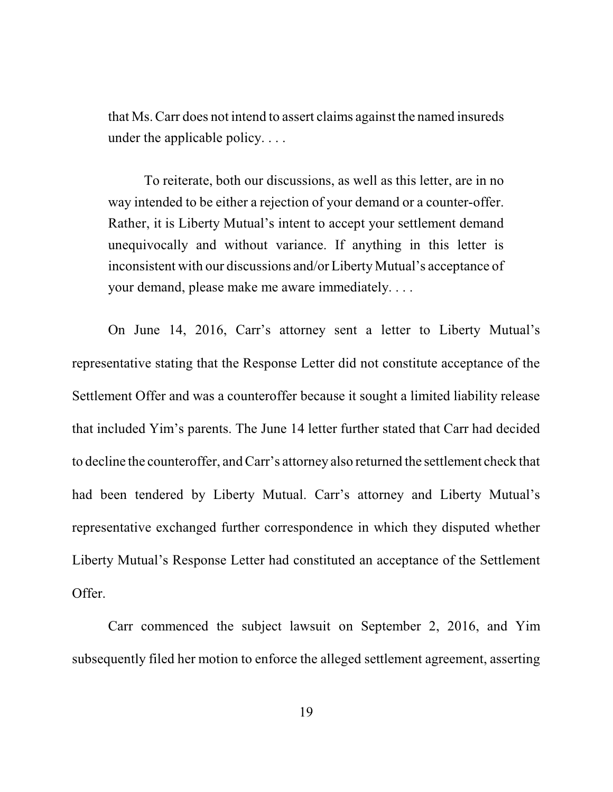that Ms. Carr does not intend to assert claims against the named insureds under the applicable policy. . . .

To reiterate, both our discussions, as well as this letter, are in no way intended to be either a rejection of your demand or a counter-offer. Rather, it is Liberty Mutual's intent to accept your settlement demand unequivocally and without variance. If anything in this letter is inconsistent with our discussions and/or Liberty Mutual's acceptance of your demand, please make me aware immediately. . . .

On June 14, 2016, Carr's attorney sent a letter to Liberty Mutual's representative stating that the Response Letter did not constitute acceptance of the Settlement Offer and was a counteroffer because it sought a limited liability release that included Yim's parents. The June 14 letter further stated that Carr had decided to decline the counteroffer, and Carr's attorney also returned the settlement check that had been tendered by Liberty Mutual. Carr's attorney and Liberty Mutual's representative exchanged further correspondence in which they disputed whether Liberty Mutual's Response Letter had constituted an acceptance of the Settlement Offer.

Carr commenced the subject lawsuit on September 2, 2016, and Yim subsequently filed her motion to enforce the alleged settlement agreement, asserting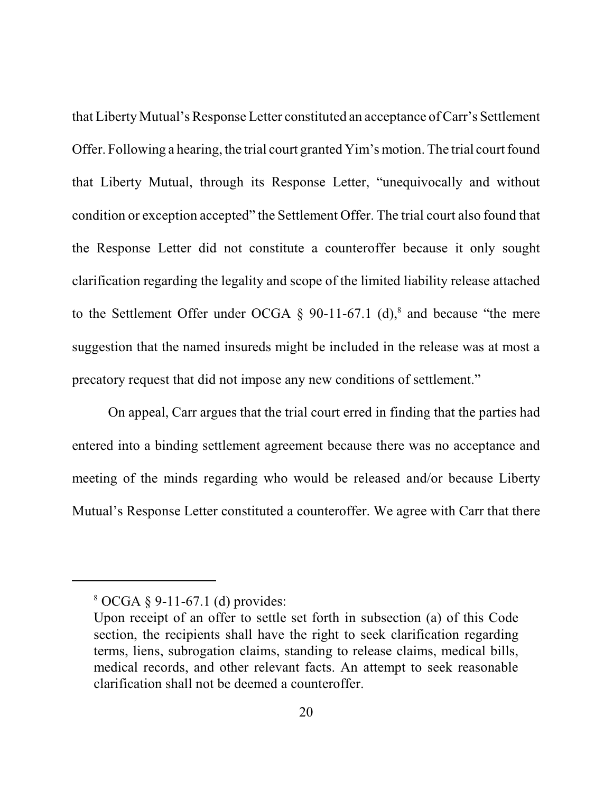that Liberty Mutual's Response Letter constituted an acceptance of Carr's Settlement Offer. Following a hearing, the trial court granted Yim's motion. The trial court found that Liberty Mutual, through its Response Letter, "unequivocally and without condition or exception accepted" the Settlement Offer. The trial court also found that the Response Letter did not constitute a counteroffer because it only sought clarification regarding the legality and scope of the limited liability release attached to the Settlement Offer under OCGA  $\S$  90-11-67.1 (d),<sup>8</sup> and because "the mere suggestion that the named insureds might be included in the release was at most a precatory request that did not impose any new conditions of settlement."

On appeal, Carr argues that the trial court erred in finding that the parties had entered into a binding settlement agreement because there was no acceptance and meeting of the minds regarding who would be released and/or because Liberty Mutual's Response Letter constituted a counteroffer. We agree with Carr that there

<sup>8</sup> OCGA § 9-11-67.1 (d) provides:

Upon receipt of an offer to settle set forth in subsection (a) of this Code section, the recipients shall have the right to seek clarification regarding terms, liens, subrogation claims, standing to release claims, medical bills, medical records, and other relevant facts. An attempt to seek reasonable clarification shall not be deemed a counteroffer.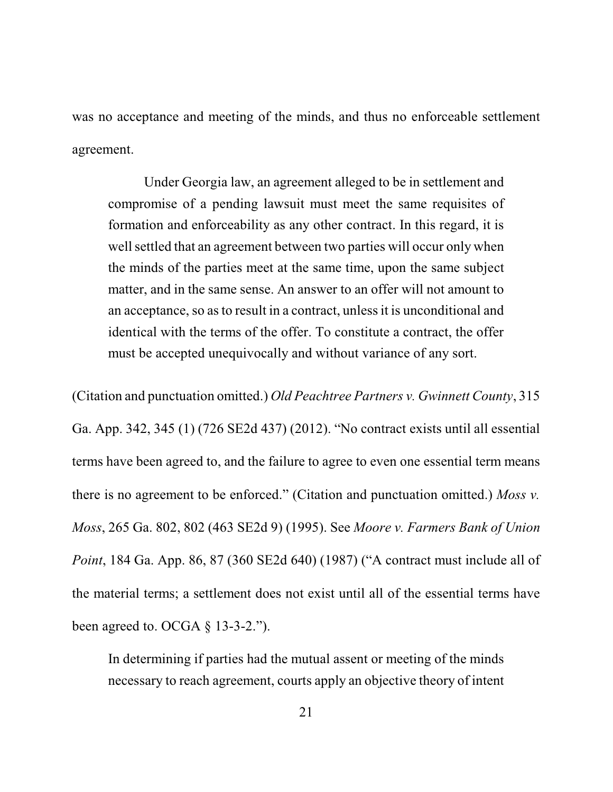was no acceptance and meeting of the minds, and thus no enforceable settlement agreement.

Under Georgia law, an agreement alleged to be in settlement and compromise of a pending lawsuit must meet the same requisites of formation and enforceability as any other contract. In this regard, it is well settled that an agreement between two parties will occur only when the minds of the parties meet at the same time, upon the same subject matter, and in the same sense. An answer to an offer will not amount to an acceptance, so asto result in a contract, unless it is unconditional and identical with the terms of the offer. To constitute a contract, the offer must be accepted unequivocally and without variance of any sort.

(Citation and punctuation omitted.) *Old Peachtree Partners v. Gwinnett County*, 315 Ga. App. 342, 345 (1) (726 SE2d 437) (2012). "No contract exists until all essential terms have been agreed to, and the failure to agree to even one essential term means there is no agreement to be enforced." (Citation and punctuation omitted.) *Moss v. Moss*, 265 Ga. 802, 802 (463 SE2d 9) (1995). See *Moore v. Farmers Bank of Union Point*, 184 Ga. App. 86, 87 (360 SE2d 640) (1987) ("A contract must include all of the material terms; a settlement does not exist until all of the essential terms have been agreed to. OCGA  $\S$  13-3-2.").

In determining if parties had the mutual assent or meeting of the minds necessary to reach agreement, courts apply an objective theory of intent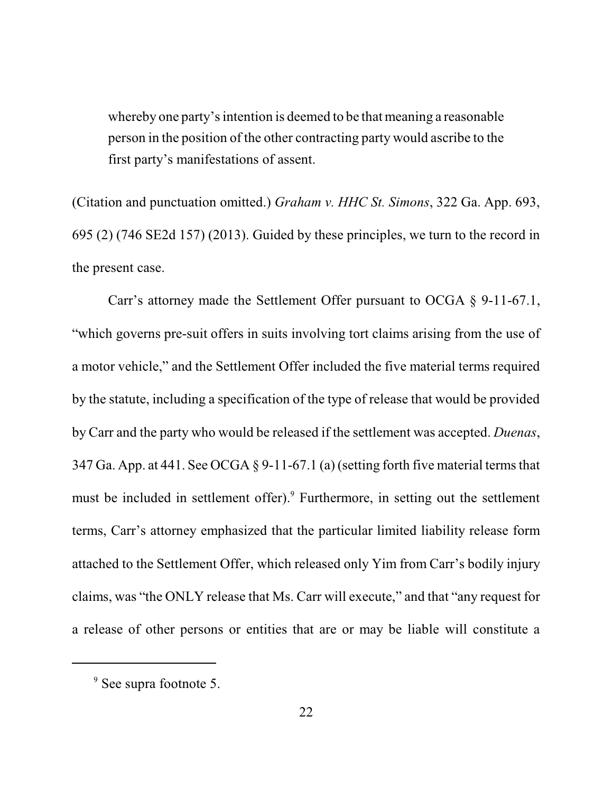whereby one party's intention is deemed to be that meaning a reasonable person in the position of the other contracting party would ascribe to the first party's manifestations of assent.

(Citation and punctuation omitted.) *Graham v. HHC St. Simons*, 322 Ga. App. 693, 695 (2) (746 SE2d 157) (2013). Guided by these principles, we turn to the record in the present case.

Carr's attorney made the Settlement Offer pursuant to OCGA § 9-11-67.1, "which governs pre-suit offers in suits involving tort claims arising from the use of a motor vehicle," and the Settlement Offer included the five material terms required by the statute, including a specification of the type of release that would be provided by Carr and the party who would be released if the settlement was accepted. *Duenas*, 347 Ga. App. at 441. See OCGA  $\S$  9-11-67.1 (a) (setting forth five material terms that must be included in settlement offer).<sup>9</sup> Furthermore, in setting out the settlement terms, Carr's attorney emphasized that the particular limited liability release form attached to the Settlement Offer, which released only Yim from Carr's bodily injury claims, was "the ONLY release that Ms. Carr will execute," and that "any request for a release of other persons or entities that are or may be liable will constitute a

<sup>&</sup>lt;sup>9</sup> See supra footnote 5.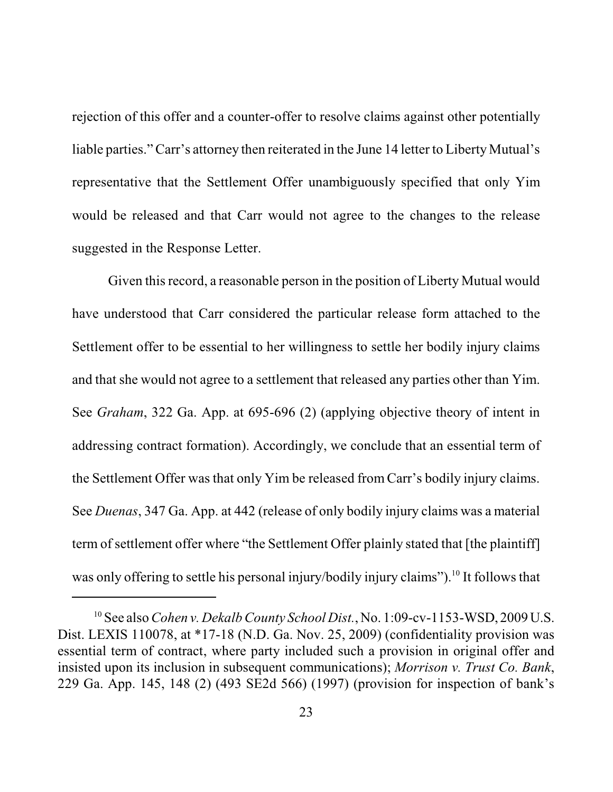rejection of this offer and a counter-offer to resolve claims against other potentially liable parties." Carr's attorney then reiterated in the June 14 letter to Liberty Mutual's representative that the Settlement Offer unambiguously specified that only Yim would be released and that Carr would not agree to the changes to the release suggested in the Response Letter.

Given thisrecord, a reasonable person in the position of Liberty Mutual would have understood that Carr considered the particular release form attached to the Settlement offer to be essential to her willingness to settle her bodily injury claims and that she would not agree to a settlement that released any parties other than Yim. See *Graham*, 322 Ga. App. at 695-696 (2) (applying objective theory of intent in addressing contract formation). Accordingly, we conclude that an essential term of the Settlement Offer was that only Yim be released from Carr's bodily injury claims. See *Duenas*, 347 Ga. App. at 442 (release of only bodily injury claims was a material term of settlement offer where "the Settlement Offer plainly stated that [the plaintiff] was only offering to settle his personal injury/bodily injury claims").<sup>10</sup> It follows that

<sup>&</sup>lt;sup>10</sup> See also *Cohen v. Dekalb County School Dist.*, No. 1:09-cv-1153-WSD, 2009 U.S. Dist. LEXIS 110078, at \*17-18 (N.D. Ga. Nov. 25, 2009) (confidentiality provision was essential term of contract, where party included such a provision in original offer and insisted upon its inclusion in subsequent communications); *Morrison v. Trust Co. Bank*, 229 Ga. App. 145, 148 (2) (493 SE2d 566) (1997) (provision for inspection of bank's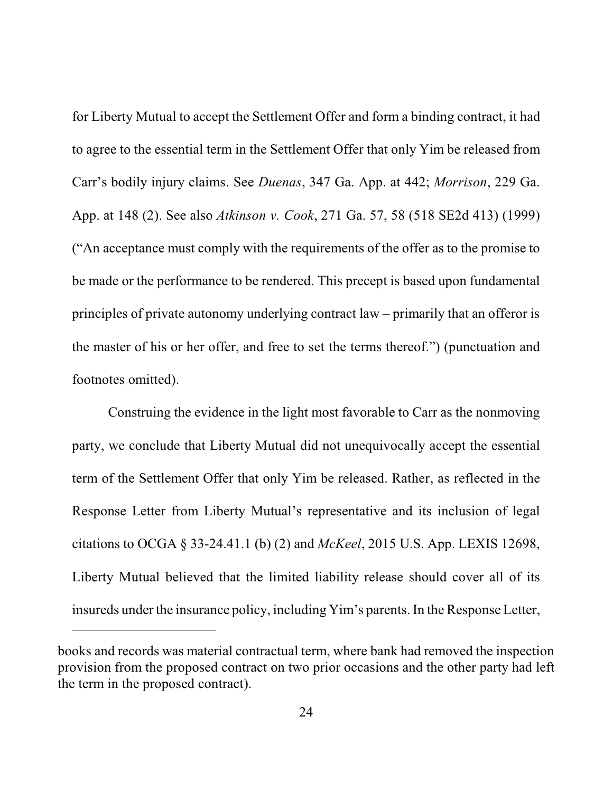for Liberty Mutual to accept the Settlement Offer and form a binding contract, it had to agree to the essential term in the Settlement Offer that only Yim be released from Carr's bodily injury claims. See *Duenas*, 347 Ga. App. at 442; *Morrison*, 229 Ga. App. at 148 (2). See also *Atkinson v. Cook*, 271 Ga. 57, 58 (518 SE2d 413) (1999) ("An acceptance must comply with the requirements of the offer as to the promise to be made or the performance to be rendered. This precept is based upon fundamental principles of private autonomy underlying contract law – primarily that an offeror is the master of his or her offer, and free to set the terms thereof.") (punctuation and footnotes omitted).

Construing the evidence in the light most favorable to Carr as the nonmoving party, we conclude that Liberty Mutual did not unequivocally accept the essential term of the Settlement Offer that only Yim be released. Rather, as reflected in the Response Letter from Liberty Mutual's representative and its inclusion of legal citations to OCGA § 33-24.41.1 (b) (2) and *McKeel*, 2015 U.S. App. LEXIS 12698, Liberty Mutual believed that the limited liability release should cover all of its insureds under the insurance policy, including Yim's parents. In the Response Letter,

books and records was material contractual term, where bank had removed the inspection provision from the proposed contract on two prior occasions and the other party had left the term in the proposed contract).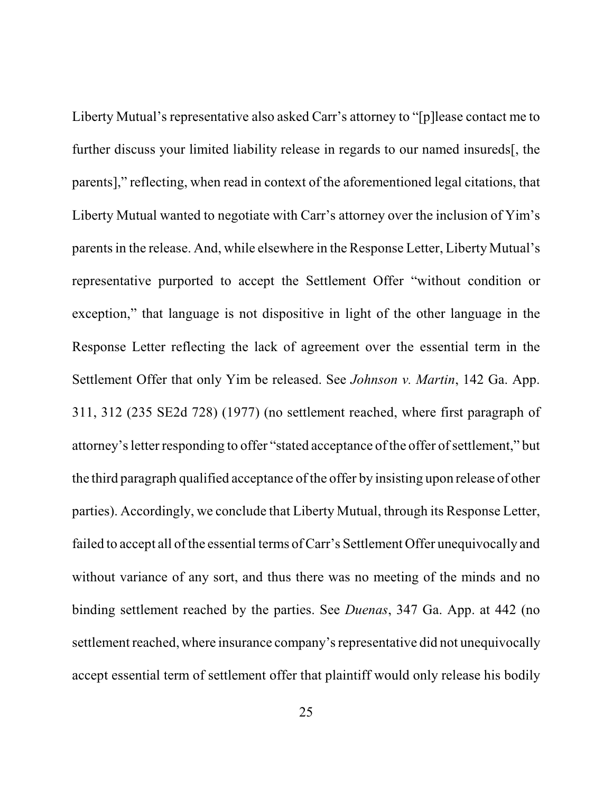Liberty Mutual's representative also asked Carr's attorney to "[p]lease contact me to further discuss your limited liability release in regards to our named insureds[, the parents]," reflecting, when read in context of the aforementioned legal citations, that Liberty Mutual wanted to negotiate with Carr's attorney over the inclusion of Yim's parents in the release. And, while elsewhere in the Response Letter, Liberty Mutual's representative purported to accept the Settlement Offer "without condition or exception," that language is not dispositive in light of the other language in the Response Letter reflecting the lack of agreement over the essential term in the Settlement Offer that only Yim be released. See *Johnson v. Martin*, 142 Ga. App. 311, 312 (235 SE2d 728) (1977) (no settlement reached, where first paragraph of attorney'sletter responding to offer "stated acceptance of the offer of settlement," but the third paragraph qualified acceptance of the offer by insisting upon release of other parties). Accordingly, we conclude that Liberty Mutual, through its Response Letter, failed to accept all of the essential terms of Carr's Settlement Offer unequivocally and without variance of any sort, and thus there was no meeting of the minds and no binding settlement reached by the parties. See *Duenas*, 347 Ga. App. at 442 (no settlement reached, where insurance company's representative did not unequivocally accept essential term of settlement offer that plaintiff would only release his bodily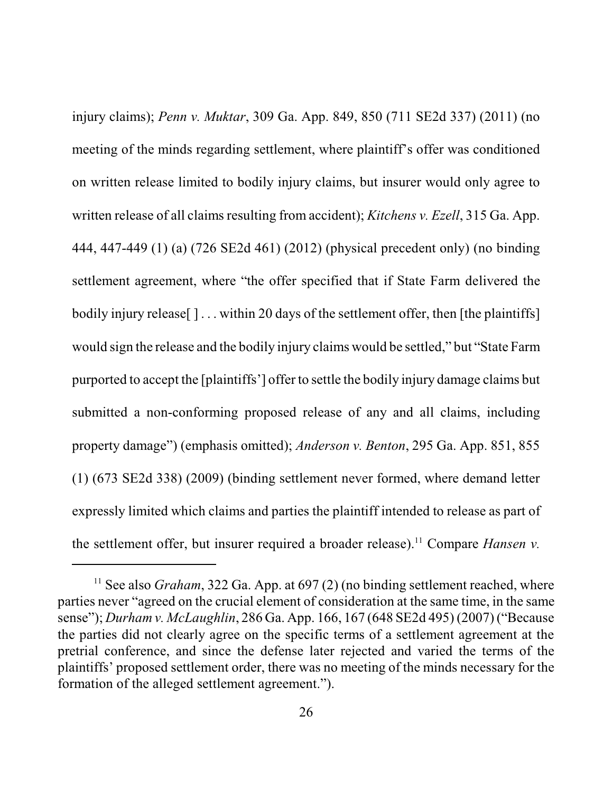injury claims); *Penn v. Muktar*, 309 Ga. App. 849, 850 (711 SE2d 337) (2011) (no meeting of the minds regarding settlement, where plaintiff's offer was conditioned on written release limited to bodily injury claims, but insurer would only agree to written release of all claims resulting from accident); *Kitchens v. Ezell*, 315 Ga. App. 444, 447-449 (1) (a) (726 SE2d 461) (2012) (physical precedent only) (no binding settlement agreement, where "the offer specified that if State Farm delivered the bodily injury release  $\lceil \cdot \cdot \cdot \rceil$  ... within 20 days of the settlement offer, then [the plaintiffs] would sign the release and the bodily injury claims would be settled," but "State Farm purported to accept the [plaintiffs'] offer to settle the bodily injury damage claims but submitted a non-conforming proposed release of any and all claims, including property damage") (emphasis omitted); *Anderson v. Benton*, 295 Ga. App. 851, 855 (1) (673 SE2d 338) (2009) (binding settlement never formed, where demand letter expressly limited which claims and parties the plaintiff intended to release as part of the settlement offer, but insurer required a broader release).<sup>11</sup> Compare *Hansen v*.

<sup>&</sup>lt;sup>11</sup> See also *Graham*, 322 Ga. App. at 697 (2) (no binding settlement reached, where parties never "agreed on the crucial element of consideration at the same time, in the same sense"); *Durham v. McLaughlin*, 286 Ga. App. 166, 167 (648 SE2d 495) (2007) ("Because the parties did not clearly agree on the specific terms of a settlement agreement at the pretrial conference, and since the defense later rejected and varied the terms of the plaintiffs' proposed settlement order, there was no meeting of the minds necessary for the formation of the alleged settlement agreement.").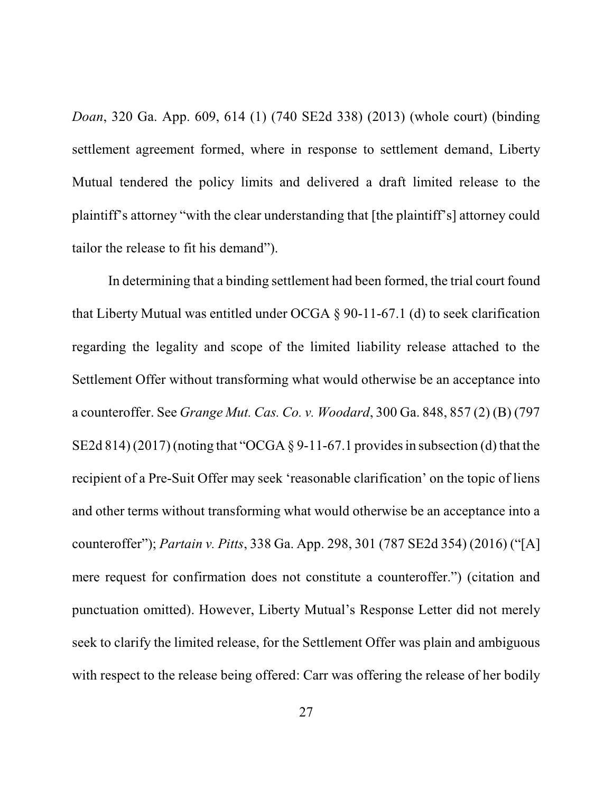*Doan*, 320 Ga. App. 609, 614 (1) (740 SE2d 338) (2013) (whole court) (binding settlement agreement formed, where in response to settlement demand, Liberty Mutual tendered the policy limits and delivered a draft limited release to the plaintiff's attorney "with the clear understanding that [the plaintiff's] attorney could tailor the release to fit his demand").

In determining that a binding settlement had been formed, the trial court found that Liberty Mutual was entitled under OCGA § 90-11-67.1 (d) to seek clarification regarding the legality and scope of the limited liability release attached to the Settlement Offer without transforming what would otherwise be an acceptance into a counteroffer. See *Grange Mut. Cas. Co. v. Woodard*, 300 Ga. 848, 857 (2) (B) (797 SE2d 814) (2017) (noting that "OCGA  $\S$  9-11-67.1 provides in subsection (d) that the recipient of a Pre-Suit Offer may seek 'reasonable clarification' on the topic of liens and other terms without transforming what would otherwise be an acceptance into a counteroffer"); *Partain v. Pitts*, 338 Ga. App. 298, 301 (787 SE2d 354) (2016) ("[A] mere request for confirmation does not constitute a counteroffer.") (citation and punctuation omitted). However, Liberty Mutual's Response Letter did not merely seek to clarify the limited release, for the Settlement Offer was plain and ambiguous with respect to the release being offered: Carr was offering the release of her bodily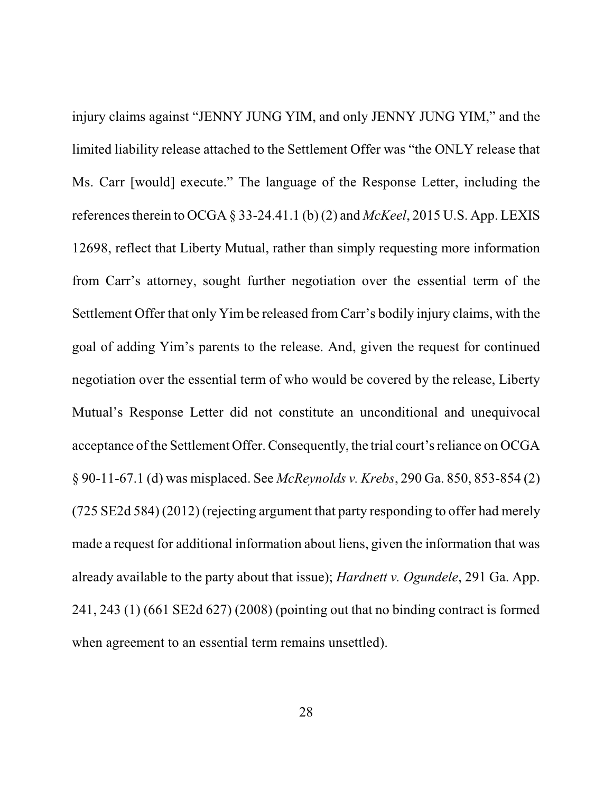injury claims against "JENNY JUNG YIM, and only JENNY JUNG YIM," and the limited liability release attached to the Settlement Offer was "the ONLY release that Ms. Carr [would] execute." The language of the Response Letter, including the referencestherein to OCGA § 33-24.41.1 (b) (2) and *McKeel*, 2015 U.S. App. LEXIS 12698, reflect that Liberty Mutual, rather than simply requesting more information from Carr's attorney, sought further negotiation over the essential term of the Settlement Offer that only Yim be released from Carr's bodily injury claims, with the goal of adding Yim's parents to the release. And, given the request for continued negotiation over the essential term of who would be covered by the release, Liberty Mutual's Response Letter did not constitute an unconditional and unequivocal acceptance of the Settlement Offer. Consequently, the trial court'sreliance on OCGA § 90-11-67.1 (d) was misplaced. See *McReynolds v. Krebs*, 290 Ga. 850, 853-854 (2) (725 SE2d 584) (2012) (rejecting argument that party responding to offer had merely made a request for additional information about liens, given the information that was already available to the party about that issue); *Hardnett v. Ogundele*, 291 Ga. App. 241, 243 (1) (661 SE2d 627) (2008) (pointing out that no binding contract is formed when agreement to an essential term remains unsettled).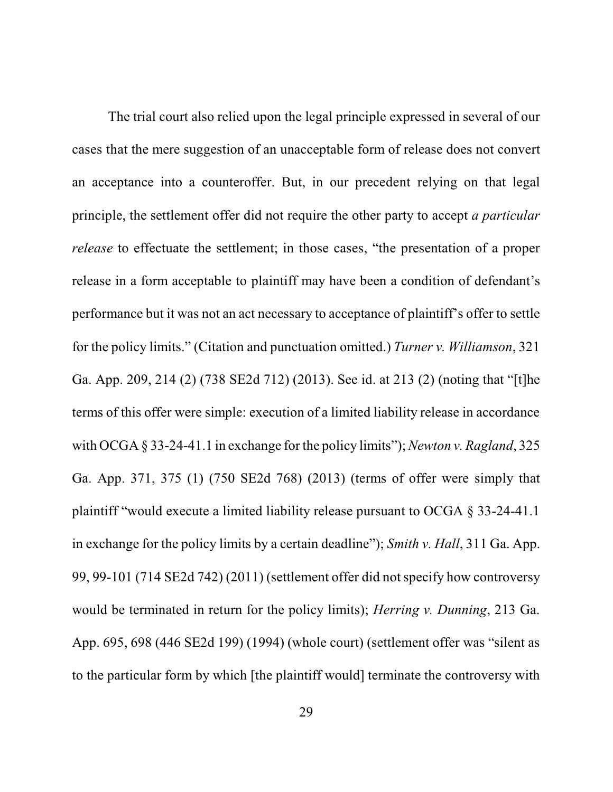The trial court also relied upon the legal principle expressed in several of our cases that the mere suggestion of an unacceptable form of release does not convert an acceptance into a counteroffer. But, in our precedent relying on that legal principle, the settlement offer did not require the other party to accept *a particular release* to effectuate the settlement; in those cases, "the presentation of a proper release in a form acceptable to plaintiff may have been a condition of defendant's performance but it was not an act necessary to acceptance of plaintiff's offer to settle for the policy limits." (Citation and punctuation omitted.) *Turner v. Williamson*, 321 Ga. App. 209, 214 (2) (738 SE2d 712) (2013). See id. at 213 (2) (noting that "[t]he terms of this offer were simple: execution of a limited liability release in accordance with OCGA § 33-24-41.1 in exchange for the policy limits");*Newton v. Ragland*, 325 Ga. App. 371, 375 (1) (750 SE2d 768) (2013) (terms of offer were simply that plaintiff "would execute a limited liability release pursuant to OCGA § 33-24-41.1 in exchange for the policy limits by a certain deadline"); *Smith v. Hall*, 311 Ga. App. 99, 99-101 (714 SE2d 742) (2011) (settlement offer did not specify how controversy would be terminated in return for the policy limits); *Herring v. Dunning*, 213 Ga. App. 695, 698 (446 SE2d 199) (1994) (whole court) (settlement offer was "silent as to the particular form by which [the plaintiff would] terminate the controversy with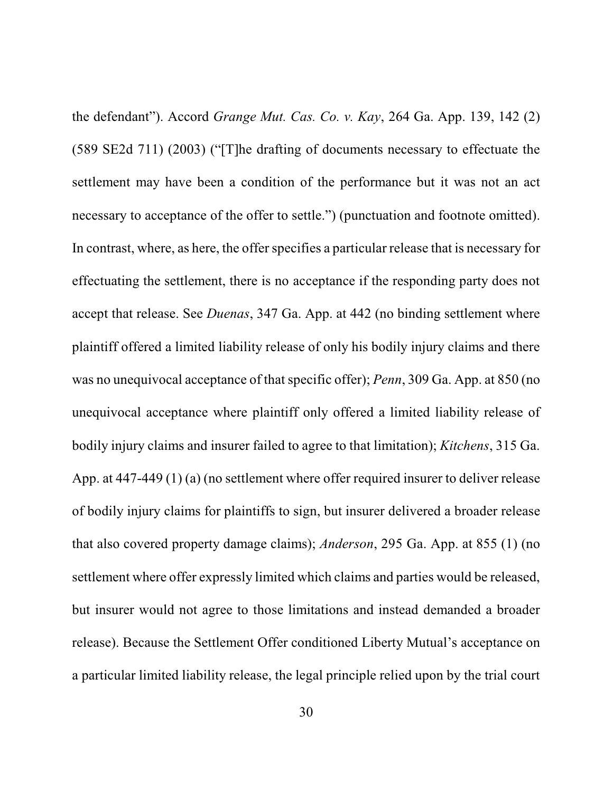the defendant"). Accord *Grange Mut. Cas. Co. v. Kay*, 264 Ga. App. 139, 142 (2) (589 SE2d 711) (2003) ("[T]he drafting of documents necessary to effectuate the settlement may have been a condition of the performance but it was not an act necessary to acceptance of the offer to settle.") (punctuation and footnote omitted). In contrast, where, as here, the offer specifies a particular release that is necessary for effectuating the settlement, there is no acceptance if the responding party does not accept that release. See *Duenas*, 347 Ga. App. at 442 (no binding settlement where plaintiff offered a limited liability release of only his bodily injury claims and there was no unequivocal acceptance of that specific offer); *Penn*, 309 Ga. App. at 850 (no unequivocal acceptance where plaintiff only offered a limited liability release of bodily injury claims and insurer failed to agree to that limitation); *Kitchens*, 315 Ga. App. at 447-449 (1) (a) (no settlement where offer required insurer to deliver release of bodily injury claims for plaintiffs to sign, but insurer delivered a broader release that also covered property damage claims); *Anderson*, 295 Ga. App. at 855 (1) (no settlement where offer expressly limited which claims and parties would be released, but insurer would not agree to those limitations and instead demanded a broader release). Because the Settlement Offer conditioned Liberty Mutual's acceptance on a particular limited liability release, the legal principle relied upon by the trial court